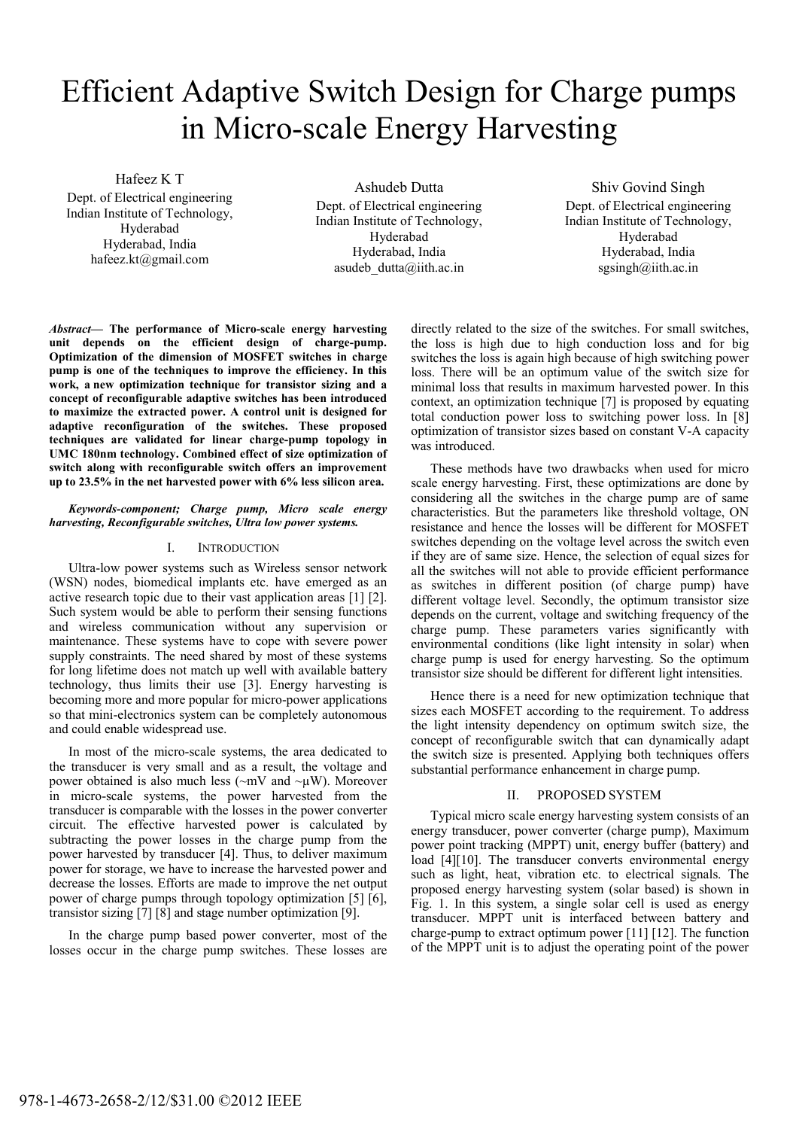# Efficient Adaptive Switch Design for Charge pumps in Micro-scale Energy Harvesting

Hafeez K T

Dept. of Electrical engineering Indian Institute of Technology, Hyderabad Hyderabad, India hafeez.kt@gmail.com

Ashudeb Dutta Dept. of Electrical engineering Indian Institute of Technology, Hyderabad Hyderabad, India asudeb  $d$ utta@iith.ac.in

Shiv Govind Singh Dept. of Electrical engineering Indian Institute of Technology, Hyderabad Hyderabad, India sgsingh@iith.ac.in

*Abstract***— The performance of Micro-scale energy harvesting unit depends on the efficient design of charge-pump. Optimization of the dimension of MOSFET switches in charge pump is one of the techniques to improve the efficiency. In this work, a new optimization technique for transistor sizing and a concept of reconfigurable adaptive switches has been introduced to maximize the extracted power. A control unit is designed for adaptive reconfiguration of the switches. These proposed techniques are validated for linear charge-pump topology in UMC 180nm technology. Combined effect of size optimization of switch along with reconfigurable switch offers an improvement up to 23.5% in the net harvested power with 6% less silicon area.** 

### *Keywords-component; Charge pump, Micro scale energy harvesting, Reconfigurable switches, Ultra low power systems.*

## I. INTRODUCTION

Ultra-low power systems such as Wireless sensor network (WSN) nodes, biomedical implants etc. have emerged as an active research topic due to their vast application areas [1] [2]. Such system would be able to perform their sensing functions and wireless communication without any supervision or maintenance. These systems have to cope with severe power supply constraints. The need shared by most of these systems for long lifetime does not match up well with available battery technology, thus limits their use [3]. Energy harvesting is becoming more and more popular for micro-power applications so that mini-electronics system can be completely autonomous and could enable widespread use.

In most of the micro-scale systems, the area dedicated to the transducer is very small and as a result, the voltage and power obtained is also much less ( $\sim$ mV and  $\sim$ µW). Moreover in micro-scale systems, the power harvested from the transducer is comparable with the losses in the power converter circuit. The effective harvested power is calculated by subtracting the power losses in the charge pump from the power harvested by transducer [4]. Thus, to deliver maximum power for storage, we have to increase the harvested power and decrease the losses. Efforts are made to improve the net output power of charge pumps through topology optimization [5] [6], transistor sizing [7] [8] and stage number optimization [9].

In the charge pump based power converter, most of the losses occur in the charge pump switches. These losses are directly related to the size of the switches. For small switches, the loss is high due to high conduction loss and for big switches the loss is again high because of high switching power loss. There will be an optimum value of the switch size for minimal loss that results in maximum harvested power. In this context, an optimization technique [7] is proposed by equating total conduction power loss to switching power loss. In [8] optimization of transistor sizes based on constant V-A capacity was introduced.

These methods have two drawbacks when used for micro scale energy harvesting. First, these optimizations are done by considering all the switches in the charge pump are of same characteristics. But the parameters like threshold voltage, ON resistance and hence the losses will be different for MOSFET switches depending on the voltage level across the switch even if they are of same size. Hence, the selection of equal sizes for all the switches will not able to provide efficient performance as switches in different position (of charge pump) have different voltage level. Secondly, the optimum transistor size depends on the current, voltage and switching frequency of the charge pump. These parameters varies significantly with environmental conditions (like light intensity in solar) when charge pump is used for energy harvesting. So the optimum transistor size should be different for different light intensities.

Hence there is a need for new optimization technique that sizes each MOSFET according to the requirement. To address the light intensity dependency on optimum switch size, the concept of reconfigurable switch that can dynamically adapt the switch size is presented. Applying both techniques offers substantial performance enhancement in charge pump.

## II. PROPOSED SYSTEM

Typical micro scale energy harvesting system consists of an energy transducer, power converter (charge pump), Maximum power point tracking (MPPT) unit, energy buffer (battery) and load [4][10]. The transducer converts environmental energy such as light, heat, vibration etc. to electrical signals. The proposed energy harvesting system (solar based) is shown in Fig. 1. In this system, a single solar cell is used as energy transducer. MPPT unit is interfaced between battery and charge-pump to extract optimum power [11] [12]. The function of the MPPT unit is to adjust the operating point of the power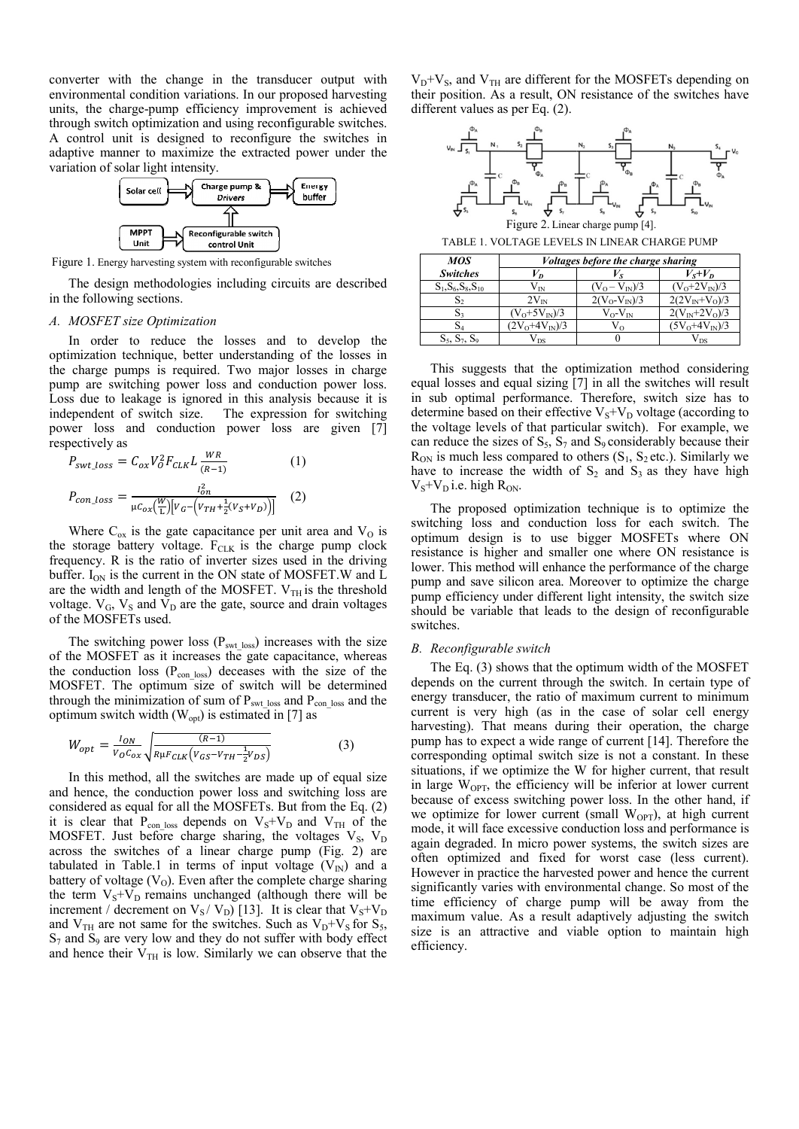converter with the change in the transducer output with environmental condition variations. In our proposed harvesting units, the charge-pump efficiency improvement is achieved through switch optimization and using reconfigurable switches. A control unit is designed to reconfigure the switches in adaptive manner to maximize the extracted power under the variation of solar light intensity.



Figure 1. Energy harvesting system with reconfigurable switches

The design methodologies including circuits are described in the following sections.

#### A. MOSFET size Optimization

In order to reduce the losses and to develop the optimization technique, better understanding of the losses in the charge pumps is required. Two major losses in charge pump are switching power loss and conduction power loss. Loss due to leakage is ignored in this analysis because it is independent of switch size. The expression for switching power loss and conduction power loss are given [7] respectively as

$$
P_{swt\_loss} = C_{ox} V_o^2 F_{CLK} L \frac{WR}{(R-1)}
$$
(1)  

$$
P_{con\_loss} = \frac{I_{on}^2}{\mu C_{ox} (\frac{W}{L}) [V_G - (V_{TH} + \frac{1}{2} (V_S + V_D))]}
$$
(2)

Where  $C_{ox}$  is the gate capacitance per unit area and  $V_O$  is the storage battery voltage.  $F_{CLK}$  is the charge pump clock frequency. R is the ratio of inverter sizes used in the driving buffer.  $I_{ON}$  is the current in the ON state of MOSFET. W and L are the width and length of the MOSFET.  $V_{TH}$  is the threshold voltage.  $V_G$ ,  $V_S$  and  $V_D$  are the gate, source and drain voltages of the MOSFETs used.

The switching power loss ( $P_{\text{swt loss}}$ ) increases with the size of the MOSFET as it increases the gate capacitance, whereas the conduction loss (P<sub>con\_loss</sub>) deceases with the size of the MOSFET. The optimum size of switch will be determined through the minimization of sum of P<sub>swt\_loss</sub> and P<sub>con\_loss</sub> and the optimum switch width  $(W_{opt})$  is estimated in [7] as

$$
W_{opt} = \frac{I_{ON}}{V_0 C_{ox}} \sqrt{\frac{(R-1)}{R\mu F_{CLK} (V_{GS} - V_{TH} - \frac{1}{2}V_{DS})}}
$$
(3)

In this method, all the switches are made up of equal size and hence, the conduction power loss and switching loss are considered as equal for all the MOSFETs. But from the Eq. (2) it is clear that  $P_{con\_loss}$  depends on  $V_s + V_D$  and  $V_{TH}$  of the MOSFET. Just before charge sharing, the voltages  $V_s$ ,  $V_p$ across the switches of a linear charge pump (Fig. 2) are tabulated in Table.1 in terms of input voltage  $(V_{N})$  and a battery of voltage  $(V<sub>0</sub>)$ . Even after the complete charge sharing the term  $V_s + V_D$  remains unchanged (although there will be increment / decrement on  $V_S / V_D$  [13]. It is clear that  $V_S + V_D$ <br>and  $V_{TH}$  are not same for the switches. Such as  $V_D + V_S$  for  $S_S$ ,  $S_7$  and  $S_9$  are very low and they do not suffer with body effect and hence their  $V_{TH}$  is low. Similarly we can observe that the

 $V_D + V_S$ , and  $V_{TH}$  are different for the MOSFETs depending on their position. As a result, ON resistance of the switches have different values as per Eq.  $(2)$ .



Figure 2. Linear charge pump [4]

| MOS                     | <i>Voltages before the charge sharing</i> |                    |                    |  |
|-------------------------|-------------------------------------------|--------------------|--------------------|--|
| <b>Switches</b>         | V <sub>D</sub>                            |                    | $V_s + V_p$        |  |
| $S_1, S_6, S_8, S_{10}$ | Vіn                                       | $(V_0 - V_{N})/3$  | $(V_0+2V_{IN})/3$  |  |
| S2                      | $2V_{IN}$                                 | $2(V_O-V_N)/3$     | $2(2V_{IN}+V_0)/3$ |  |
|                         | $(V_0+5V_{IN})/3$                         | $V_{O}$ - $V_{IN}$ | $2(V_{IN}+2V_0)/3$ |  |
| S4                      | $(2V_0+4V_{IN})/3$                        | V٥                 | $(5V_0+4V_{N})/3$  |  |
| $S_5$ , $S_7$ , $S_9$   | V ns                                      |                    | $\sqrt{2}$         |  |

This suggests that the optimization method considering equal losses and equal sizing [7] in all the switches will result in sub optimal performance. Therefore, switch size has to determine based on their effective  $V_S + V_D$  voltage (according to the voltage levels of that particular switch). For example, we can reduce the sizes of  $S_5$ ,  $S_7$  and  $S_9$  considerably because their  $R_{ON}$  is much less compared to others  $(S_1, S_2$  etc.). Similarly we have to increase the width of  $S_2$  and  $S_3$  as they have high  $V_S+V_D$  i.e. high  $R_{ON}$ .

The proposed optimization technique is to optimize the switching loss and conduction loss for each switch. The optimum design is to use bigger MOSFETs where ON resistance is higher and smaller one where ON resistance is lower. This method will enhance the performance of the charge pump and save silicon area. Moreover to optimize the charge pump efficiency under different light intensity, the switch size should be variable that leads to the design of reconfigurable switches.

#### B. Reconfigurable switch

The Eq. (3) shows that the optimum width of the MOSFET depends on the current through the switch. In certain type of energy transducer, the ratio of maximum current to minimum current is very high (as in the case of solar cell energy harvesting). That means during their operation, the charge pump has to expect a wide range of current [14]. Therefore the corresponding optimal switch size is not a constant. In these situations, if we optimize the W for higher current, that result in large  $W_{OPT}$ , the efficiency will be inferior at lower current because of excess switching power loss. In the other hand, if we optimize for lower current (small  $W_{OPT}$ ), at high current mode, it will face excessive conduction loss and performance is again degraded. In micro power systems, the switch sizes are often optimized and fixed for worst case (less current). However in practice the harvested power and hence the current significantly varies with environmental change. So most of the time efficiency of charge pump will be away from the maximum value. As a result adaptively adjusting the switch size is an attractive and viable option to maintain high efficiency.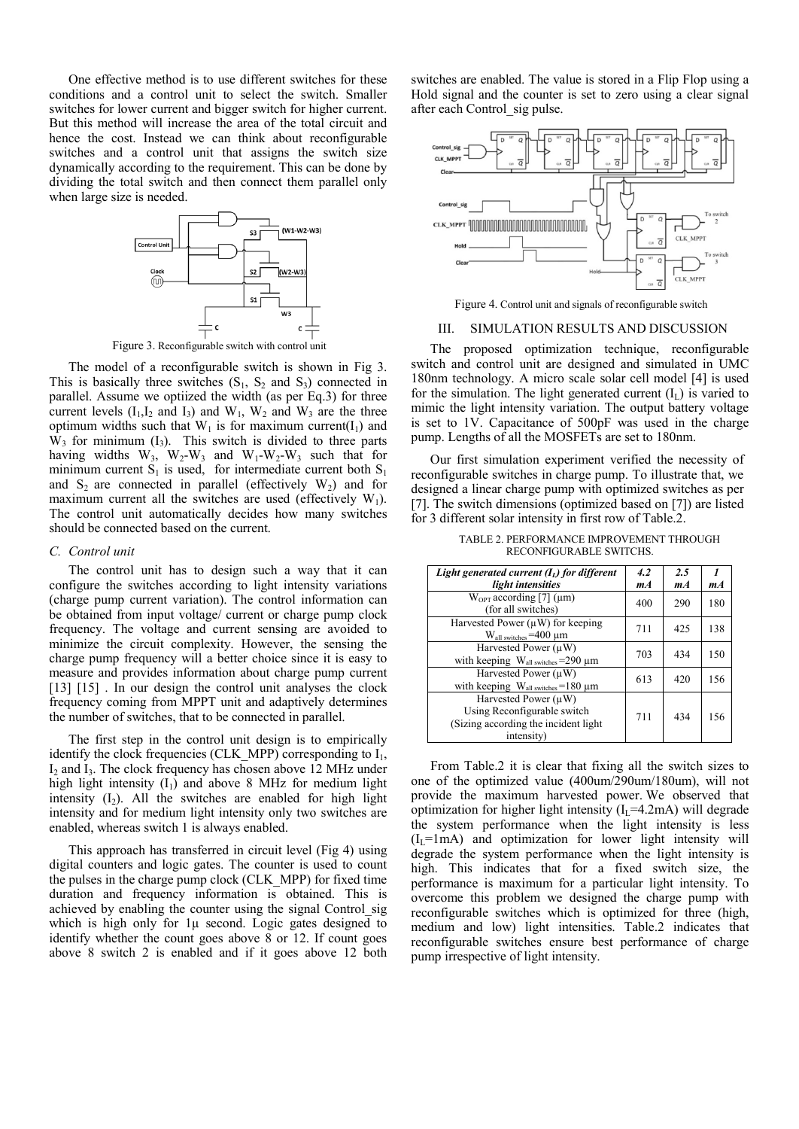One effective method is to use different switches for these conditions and a control unit to select the switch. Smaller switches for lower current and bigger switch for higher current. But this method will increase the area of the total circuit and hence the cost. Instead we can think about reconfigurable switches and a control unit that assigns the switch size dynamically according to the requirement. This can be done by dividing the total switch and then connect them parallel only when large size is needed.



Figure 3. Reconfigurable switch with control unit

The model of a reconfigurable switch is shown in Fig 3. This is basically three switches  $(S_1, S_2 \text{ and } S_3)$  connected in parallel. Assume we optiized the width (as per Eq.3) for three current levels  $(I_1,I_2$  and  $I_3$ ) and  $W_1$ ,  $W_2$  and  $W_3$  are the three optimum widths such that  $W_1$  is for maximum current(I<sub>1</sub>) and  $W_3$  for minimum  $(I_3)$ . This switch is divided to three parts having widths  $W_3$ ,  $W_2-W_3$  and  $W_1-W_2-W_3$  such that for minimum current  $S_1$  is used, for intermediate current both  $S_1$ and  $S_2$  are connected in parallel (effectively  $W_2$ ) and for maximum current all the switches are used (effectively  $W_1$ ). The control unit automatically decides how many switches should be connected based on the current.

#### *C. Control unit*

The control unit has to design such a way that it can configure the switches according to light intensity variations (charge pump current variation). The control information can be obtained from input voltage/ current or charge pump clock frequency. The voltage and current sensing are avoided to minimize the circuit complexity. However, the sensing the charge pump frequency will a better choice since it is easy to measure and provides information about charge pump current [13] [15]. In our design the control unit analyses the clock frequency coming from MPPT unit and adaptively determines the number of switches, that to be connected in parallel.

The first step in the control unit design is to empirically identify the clock frequencies (CLK\_MPP) corresponding to  $I_1$ , I<sub>2</sub> and I<sub>3</sub>. The clock frequency has chosen above 12 MHz under high light intensity  $(I_1)$  and above 8 MHz for medium light intensity  $(I_2)$ . All the switches are enabled for high light intensity and for medium light intensity only two switches are enabled, whereas switch 1 is always enabled.

This approach has transferred in circuit level (Fig 4) using digital counters and logic gates. The counter is used to count the pulses in the charge pump clock (CLK\_MPP) for fixed time duration and frequency information is obtained. This is achieved by enabling the counter using the signal Control\_sig which is high only for  $1\mu$  second. Logic gates designed to identify whether the count goes above 8 or 12. If count goes above 8 switch 2 is enabled and if it goes above 12 both switches are enabled. The value is stored in a Flip Flop using a Hold signal and the counter is set to zero using a clear signal after each Control\_sig pulse.



Figure 4. Control unit and signals of reconfigurable switch

#### III. SIMULATION RESULTS AND DISCUSSION

The proposed optimization technique, reconfigurable switch and control unit are designed and simulated in UMC 180nm technology. A micro scale solar cell model [4] is used for the simulation. The light generated current  $(I<sub>L</sub>)$  is varied to mimic the light intensity variation. The output battery voltage is set to 1V. Capacitance of 500pF was used in the charge pump. Lengths of all the MOSFETs are set to 180nm.

Our first simulation experiment verified the necessity of reconfigurable switches in charge pump. To illustrate that, we designed a linear charge pump with optimized switches as per [7]. The switch dimensions (optimized based on [7]) are listed for 3 different solar intensity in first row of Table.2.

| Light generated current $(I_L)$ for different                                                                   | 4.2 | 2.5 |       |
|-----------------------------------------------------------------------------------------------------------------|-----|-----|-------|
| light intensities                                                                                               | mA  | mA  | $m_A$ |
| $W_{\text{OPT}}$ according [7] ( $\mu$ m)<br>(for all switches)                                                 | 400 | 290 | 180   |
| Harvested Power $(\mu W)$ for keeping<br>$W_{all \text{ switches}} = 400 \text{ µm}$                            | 711 | 425 | 138   |
| Harvested Power $(\mu W)$<br>with keeping $W_{all \text{ switches}} = 290 \mu m$                                | 703 | 434 | 150   |
| Harvested Power $(\mu W)$<br>with keeping $W_{all \, switches} = 180 \, \mu m$                                  | 613 | 420 | 156   |
| Harvested Power $(\mu W)$<br>Using Reconfigurable switch<br>(Sizing according the incident light)<br>intensity) | 711 | 434 | 156   |

TABLE 2. PERFORMANCE IMPROVEMENT THROUGH RECONFIGURABLE SWITCHS.

From Table.2 it is clear that fixing all the switch sizes to one of the optimized value (400um/290um/180um), will not provide the maximum harvested power. We observed that optimization for higher light intensity  $(I_L=4.2mA)$  will degrade the system performance when the light intensity is less  $(I_{I} = 1 \text{ mA})$  and optimization for lower light intensity will degrade the system performance when the light intensity is high. This indicates that for a fixed switch size, the performance is maximum for a particular light intensity. To overcome this problem we designed the charge pump with reconfigurable switches which is optimized for three (high, medium and low) light intensities. Table.2 indicates that reconfigurable switches ensure best performance of charge pump irrespective of light intensity.